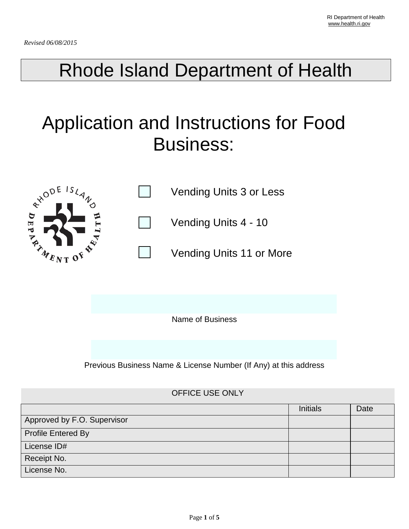## Rhode Island Department of Health

# Application and Instructions for Food Business:



Name of Business

Previous Business Name & License Number (If Any) at this address

#### OFFICE USE ONLY

|                             | <b>Initials</b> | Date |
|-----------------------------|-----------------|------|
| Approved by F.O. Supervisor |                 |      |
| <b>Profile Entered By</b>   |                 |      |
| License ID#                 |                 |      |
| Receipt No.                 |                 |      |
| License No.                 |                 |      |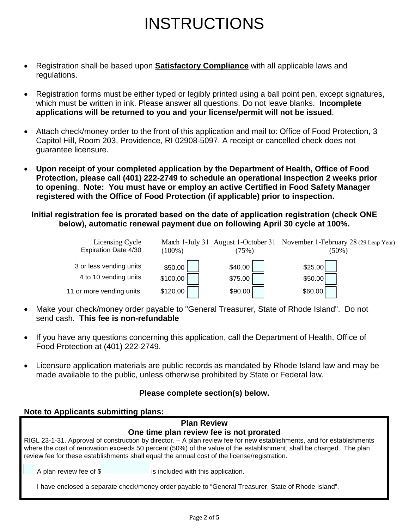## INSTRUCTIONS

- Registration shall be based upon **Satisfactory Compliance** with all applicable laws and regulations.
- Registration forms must be either typed or legibly printed using a ball point pen, except signatures, which must be written in ink. Please answer all questions. Do not leave blanks. **Incomplete applications will be returned to you and your license/permit will not be issued**.
- Attach check/money order to the front of this application and mail to: Office of Food Protection, 3 Capitol Hill, Room 203, Providence, RI 02908-5097. A receipt or cancelled check does not guarantee licensure.
- **Upon receipt of your completed application by the Department of Health, Office of Food Protection, please call (401) 222-2749 to schedule an operational inspection 2 weeks prior to opening**. **Note: You must have or employ an active Certified in Food Safety Manager registered with the Office of Food Protection (if applicable) prior to inspection.**

**Initial registration fee is prorated based on the date of application registration (check ONE below), automatic renewal payment due on following April 30 cycle at 100%.** 

| Licensing Cycle<br>Expiration Date 4/30          | $(100\%)$           | $75\%)$            | March 1-July 31 August 1-October 31 November 1-February 28 (29 Leap Year)<br>$(50\%)$ |
|--------------------------------------------------|---------------------|--------------------|---------------------------------------------------------------------------------------|
| 3 or less vending units<br>4 to 10 vending units | \$50.00<br>\$100.00 | \$40.00<br>\$75.00 | \$25.00<br>\$50.00]                                                                   |
| 11 or more vending units                         | \$120.00            | \$90.00            | \$60.00]                                                                              |

- Make your check/money order payable to "General Treasurer, State of Rhode Island". Do not send cash. **This fee is non-refundable**
- If you have any questions concerning this application, call the Department of Health, Office of Food Protection at (401) 222-2749.
- Licensure application materials are public records as mandated by Rhode Island law and may be made available to the public, unless otherwise prohibited by State or Federal law.

### **Please complete section(s) below.**

#### **Note to Applicants submitting plans:**

### **Plan Review One time plan review fee is not prorated** RIGL 23-1-31. Approval of construction by director. – A plan review fee for new establishments, and for establishments where the cost of renovation exceeds 50 percent (50%) of the value of the establishment, shall be charged. The plan review fee for these establishments shall equal the annual cost of the license/registration. A plan review fee of \$ is included with this application. I have enclosed a separate check/money order payable to "General Treasurer, State of Rhode Island".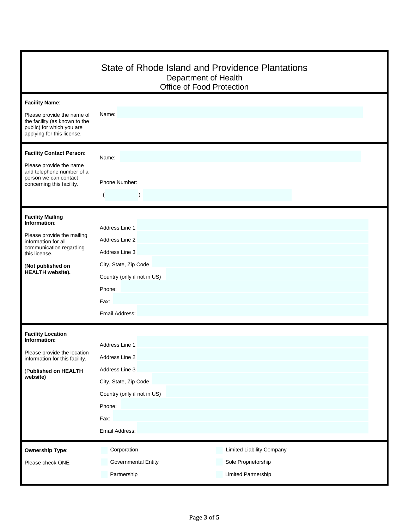|                                                                                                                                                                                          | State of Rhode Island and Providence Plantations<br>Department of Health<br>Office of Food Protection                                             |  |  |  |
|------------------------------------------------------------------------------------------------------------------------------------------------------------------------------------------|---------------------------------------------------------------------------------------------------------------------------------------------------|--|--|--|
| <b>Facility Name:</b><br>Please provide the name of<br>the facility (as known to the<br>public) for which you are<br>applying for this license.                                          | Name:                                                                                                                                             |  |  |  |
| <b>Facility Contact Person:</b><br>Please provide the name<br>and telephone number of a<br>person we can contact<br>concerning this facility.                                            | Name:<br>Phone Number:<br>$\mathcal{L}$                                                                                                           |  |  |  |
| <b>Facility Mailing</b><br>Information:<br>Please provide the mailing<br>information for all<br>communication regarding<br>this license.<br>(Not published on<br><b>HEALTH</b> website). | Address Line 1<br>Address Line 2<br>Address Line 3<br>City, State, Zip Code<br>Country (only if not in US)<br>Phone:<br>Fax:<br>Email Address:    |  |  |  |
| <b>Facility Location</b><br>Information:<br>Please provide the location<br>information for this facility.<br>(Published on HEALTH<br>website)                                            | Address Line 1<br>Address Line 2<br>Address Line 3<br>City, State, Zip Code<br>Country (only if not in US)<br>Phone:<br>Fax:<br>Email Address:    |  |  |  |
| <b>Ownership Type:</b><br>Please check ONE                                                                                                                                               | Corporation<br><b>Limited Liability Company</b><br>Sole Proprietorship<br><b>Governmental Entity</b><br>Partnership<br><b>Limited Partnership</b> |  |  |  |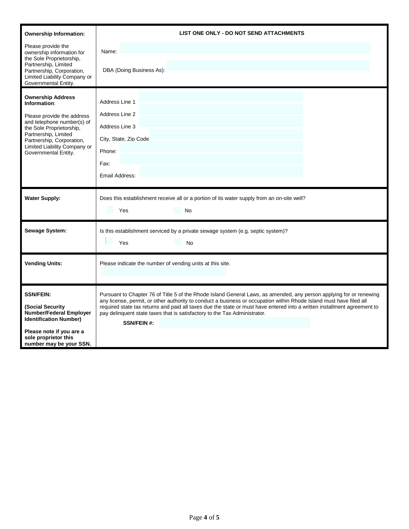| <b>Ownership Information:</b>                                                                                                                                                                                                                 | LIST ONE ONLY - DO NOT SEND ATTACHMENTS                                                                                                                                                                                                                                                                                                                                                                                                                                   |  |  |
|-----------------------------------------------------------------------------------------------------------------------------------------------------------------------------------------------------------------------------------------------|---------------------------------------------------------------------------------------------------------------------------------------------------------------------------------------------------------------------------------------------------------------------------------------------------------------------------------------------------------------------------------------------------------------------------------------------------------------------------|--|--|
| Please provide the<br>ownership information for                                                                                                                                                                                               | Name:                                                                                                                                                                                                                                                                                                                                                                                                                                                                     |  |  |
| the Sole Proprietorship,<br>Partnership, Limited<br>Partnership, Corporation,<br>Limited Liability Company or<br>Governmental Entity.                                                                                                         | DBA (Doing Business As):                                                                                                                                                                                                                                                                                                                                                                                                                                                  |  |  |
| <b>Ownership Address</b><br>Information:<br>Please provide the address<br>and telephone number(s) of<br>the Sole Proprietorship,<br>Partnership, Limited<br>Partnership, Corporation,<br>Limited Liability Company or<br>Governmental Entity. | Address Line 1<br>Address Line 2<br>Address Line 3<br>City, State, Zip Code<br>Phone:<br>Fax:                                                                                                                                                                                                                                                                                                                                                                             |  |  |
|                                                                                                                                                                                                                                               | Email Address:                                                                                                                                                                                                                                                                                                                                                                                                                                                            |  |  |
| <b>Water Supply:</b>                                                                                                                                                                                                                          | Does this establishment receive all or a portion of its water supply from an on-site well?<br>Yes<br>No                                                                                                                                                                                                                                                                                                                                                                   |  |  |
| <b>Sewage System:</b>                                                                                                                                                                                                                         | Is this establishment serviced by a private sewage system (e.g. septic system)?<br>Yes<br>No                                                                                                                                                                                                                                                                                                                                                                              |  |  |
| <b>Vending Units:</b>                                                                                                                                                                                                                         | Please indicate the number of vending units at this site.                                                                                                                                                                                                                                                                                                                                                                                                                 |  |  |
| <b>SSN/FEIN:</b><br>(Social Security<br><b>Number/Federal Employer</b><br><b>Identification Number)</b><br>Please note if you are a<br>sole proprietor this<br>number may be your SSN.                                                        | Pursuant to Chapter 76 of Title 5 of the Rhode Island General Laws, as amended, any person applying for or renewing<br>any license, permit, or other authority to conduct a business or occupation within Rhode Island must have filed all<br>required state tax returns and paid all taxes due the state or must have entered into a written installment agreement to<br>pay delinquent state taxes that is satisfactory to the Tax Administrator.<br><b>SSN/FEIN #:</b> |  |  |